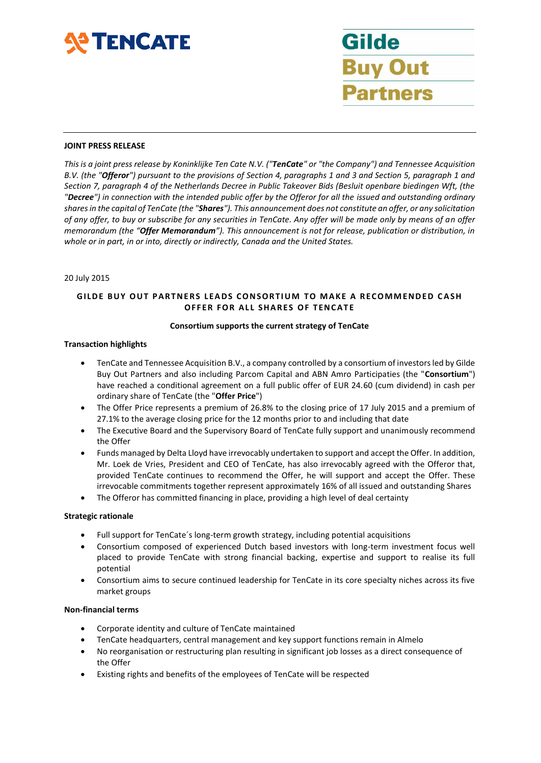

Gilde **Buy Out** artners

#### **JOINT PRESS RELEASE**

*This is a joint press release by Koninklijke Ten Cate N.V. ("TenCate" or "the Company") and Tennessee Acquisition B.V. (the "Offeror") pursuant to the provisions of Section 4, paragraphs 1 and 3 and Section 5, paragraph 1 and Section 7, paragraph 4 of the Netherlands Decree in Public Takeover Bids (Besluit openbare biedingen Wft, (the "Decree") in connection with the intended public offer by the Offeror for all the issued and outstanding ordinary shares in the capital of TenCate (the "Shares"). This announcement does not constitute an offer, or any solicitation of any offer, to buy or subscribe for any securities in TenCate. Any offer will be made only by means of an offer memorandum (the "Offer Memorandum"). This announcement is not for release, publication or distribution, in whole or in part, in or into, directly or indirectly, Canada and the United States.*

### 20 July 2015

# **GILDE BUY OUT PARTNERS LEADS CONSORTIUM TO MAKE A RECOMMENDED CASH OFFER FOR ALL SHARES OF TENCATE**

### **Consortium supports the current strategy of TenCate**

### **Transaction highlights**

- TenCate and Tennessee Acquisition B.V., a company controlled by a consortium of investors led by Gilde Buy Out Partners and also including Parcom Capital and ABN Amro Participaties (the "**Consortium**") have reached a conditional agreement on a full public offer of EUR 24.60 (cum dividend) in cash per ordinary share of TenCate (the "**Offer Price**")
- The Offer Price represents a premium of 26.8% to the closing price of 17 July 2015 and a premium of 27.1% to the average closing price for the 12 months prior to and including that date
- The Executive Board and the Supervisory Board of TenCate fully support and unanimously recommend the Offer
- Funds managed by Delta Lloyd have irrevocably undertaken to support and accept the Offer. In addition, Mr. Loek de Vries, President and CEO of TenCate, has also irrevocably agreed with the Offeror that, provided TenCate continues to recommend the Offer, he will support and accept the Offer. These irrevocable commitments together represent approximately 16% of all issued and outstanding Shares
- The Offeror has committed financing in place, providing a high level of deal certainty

#### **Strategic rationale**

- Full support for TenCate´s long-term growth strategy, including potential acquisitions
- Consortium composed of experienced Dutch based investors with long-term investment focus well placed to provide TenCate with strong financial backing, expertise and support to realise its full potential
- Consortium aims to secure continued leadership for TenCate in its core specialty niches across its five market groups

#### **Non-financial terms**

- Corporate identity and culture of TenCate maintained
- TenCate headquarters, central management and key support functions remain in Almelo
- No reorganisation or restructuring plan resulting in significant job losses as a direct consequence of the Offer
- Existing rights and benefits of the employees of TenCate will be respected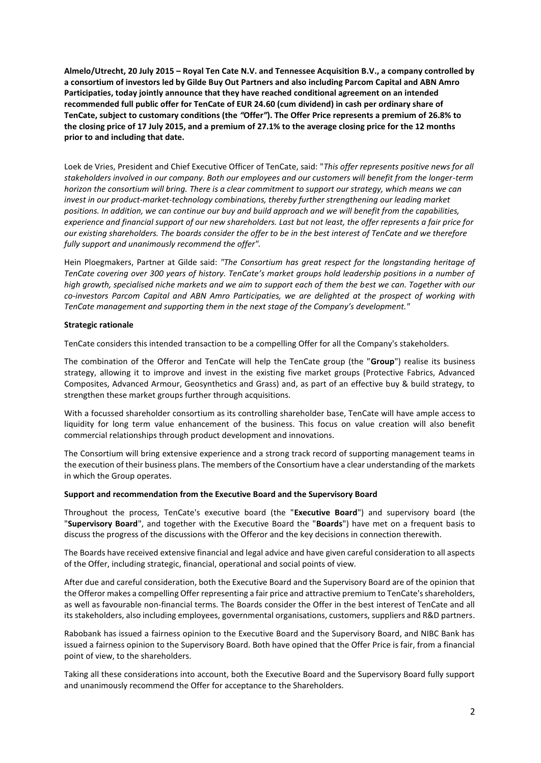**Almelo/Utrecht, 20 July 2015 – Royal Ten Cate N.V. and Tennessee Acquisition B.V., a company controlled by a consortium of investors led by Gilde Buy Out Partners and also including Parcom Capital and ABN Amro Participaties, today jointly announce that they have reached conditional agreement on an intended recommended full public offer for TenCate of EUR 24.60 (cum dividend) in cash per ordinary share of TenCate, subject to customary conditions (the** *"***Offer***"***). The Offer Price represents a premium of 26.8% to the closing price of 17 July 2015, and a premium of 27.1% to the average closing price for the 12 months prior to and including that date.**

Loek de Vries, President and Chief Executive Officer of TenCate, said: "*This offer represents positive news for all stakeholders involved in our company. Both our employees and our customers will benefit from the longer-term horizon the consortium will bring. There is a clear commitment to support our strategy, which means we can invest in our product-market-technology combinations, thereby further strengthening our leading market positions. In addition, we can continue our buy and build approach and we will benefit from the capabilities, experience and financial support of our new shareholders. Last but not least, the offer represents a fair price for our existing shareholders. The boards consider the offer to be in the best interest of TenCate and we therefore fully support and unanimously recommend the offer".*

Hein Ploegmakers, Partner at Gilde said: *"The Consortium has great respect for the longstanding heritage of TenCate covering over 300 years of history. TenCate's market groups hold leadership positions in a number of high growth, specialised niche markets and we aim to support each of them the best we can. Together with our co-investors Parcom Capital and ABN Amro Participaties, we are delighted at the prospect of working with TenCate management and supporting them in the next stage of the Company's development."*

### **Strategic rationale**

TenCate considers this intended transaction to be a compelling Offer for all the Company's stakeholders.

The combination of the Offeror and TenCate will help the TenCate group (the "**Group**") realise its business strategy, allowing it to improve and invest in the existing five market groups (Protective Fabrics, Advanced Composites, Advanced Armour, Geosynthetics and Grass) and, as part of an effective buy & build strategy, to strengthen these market groups further through acquisitions.

With a focussed shareholder consortium as its controlling shareholder base, TenCate will have ample access to liquidity for long term value enhancement of the business. This focus on value creation will also benefit commercial relationships through product development and innovations.

The Consortium will bring extensive experience and a strong track record of supporting management teams in the execution of their business plans. The members of the Consortium have a clear understanding of the markets in which the Group operates.

#### **Support and recommendation from the Executive Board and the Supervisory Board**

Throughout the process, TenCate's executive board (the "**Executive Board**") and supervisory board (the "**Supervisory Board**", and together with the Executive Board the "**Boards**") have met on a frequent basis to discuss the progress of the discussions with the Offeror and the key decisions in connection therewith.

The Boards have received extensive financial and legal advice and have given careful consideration to all aspects of the Offer, including strategic, financial, operational and social points of view.

After due and careful consideration, both the Executive Board and the Supervisory Board are of the opinion that the Offeror makes a compelling Offer representing a fair price and attractive premium to TenCate's shareholders, as well as favourable non-financial terms. The Boards consider the Offer in the best interest of TenCate and all its stakeholders, also including employees, governmental organisations, customers, suppliers and R&D partners.

Rabobank has issued a fairness opinion to the Executive Board and the Supervisory Board, and NIBC Bank has issued a fairness opinion to the Supervisory Board. Both have opined that the Offer Price is fair, from a financial point of view, to the shareholders.

Taking all these considerations into account, both the Executive Board and the Supervisory Board fully support and unanimously recommend the Offer for acceptance to the Shareholders.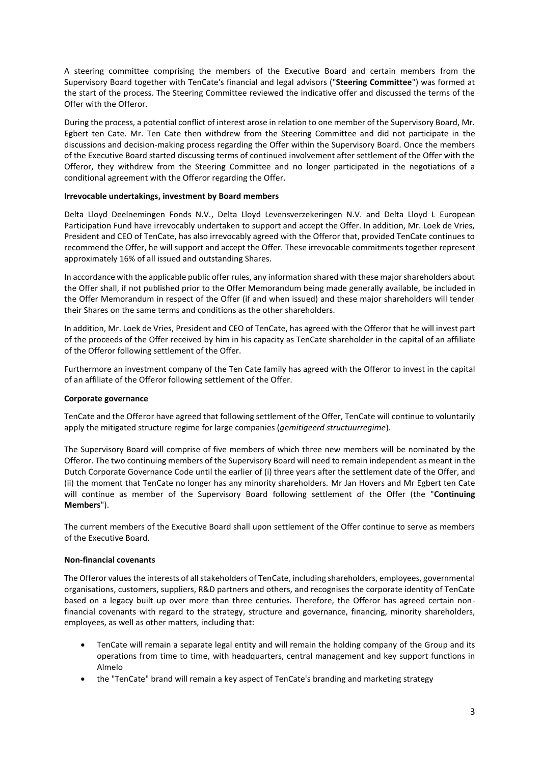A steering committee comprising the members of the Executive Board and certain members from the Supervisory Board together with TenCate's financial and legal advisors ("**Steering Committee**") was formed at the start of the process. The Steering Committee reviewed the indicative offer and discussed the terms of the Offer with the Offeror.

During the process, a potential conflict of interest arose in relation to one member of the Supervisory Board, Mr. Egbert ten Cate. Mr. Ten Cate then withdrew from the Steering Committee and did not participate in the discussions and decision-making process regarding the Offer within the Supervisory Board. Once the members of the Executive Board started discussing terms of continued involvement after settlement of the Offer with the Offeror, they withdrew from the Steering Committee and no longer participated in the negotiations of a conditional agreement with the Offeror regarding the Offer.

## **Irrevocable undertakings, investment by Board members**

Delta Lloyd Deelnemingen Fonds N.V., Delta Lloyd Levensverzekeringen N.V. and Delta Lloyd L European Participation Fund have irrevocably undertaken to support and accept the Offer. In addition, Mr. Loek de Vries, President and CEO of TenCate, has also irrevocably agreed with the Offeror that, provided TenCate continues to recommend the Offer, he will support and accept the Offer. These irrevocable commitments together represent approximately 16% of all issued and outstanding Shares.

In accordance with the applicable public offer rules, any information shared with these major shareholders about the Offer shall, if not published prior to the Offer Memorandum being made generally available, be included in the Offer Memorandum in respect of the Offer (if and when issued) and these major shareholders will tender their Shares on the same terms and conditions as the other shareholders.

In addition, Mr. Loek de Vries, President and CEO of TenCate, has agreed with the Offeror that he will invest part of the proceeds of the Offer received by him in his capacity as TenCate shareholder in the capital of an affiliate of the Offeror following settlement of the Offer.

Furthermore an investment company of the Ten Cate family has agreed with the Offeror to invest in the capital of an affiliate of the Offeror following settlement of the Offer.

#### **Corporate governance**

TenCate and the Offeror have agreed that following settlement of the Offer, TenCate will continue to voluntarily apply the mitigated structure regime for large companies (*gemitigeerd structuurregime*).

The Supervisory Board will comprise of five members of which three new members will be nominated by the Offeror. The two continuing members of the Supervisory Board will need to remain independent as meant in the Dutch Corporate Governance Code until the earlier of (i) three years after the settlement date of the Offer, and (ii) the moment that TenCate no longer has any minority shareholders. Mr Jan Hovers and Mr Egbert ten Cate will continue as member of the Supervisory Board following settlement of the Offer (the "**Continuing Members**").

The current members of the Executive Board shall upon settlement of the Offer continue to serve as members of the Executive Board.

### **Non-financial covenants**

The Offeror values the interests of all stakeholders of TenCate, including shareholders, employees, governmental organisations, customers, suppliers, R&D partners and others, and recognises the corporate identity of TenCate based on a legacy built up over more than three centuries. Therefore, the Offeror has agreed certain nonfinancial covenants with regard to the strategy, structure and governance, financing, minority shareholders, employees, as well as other matters, including that:

- TenCate will remain a separate legal entity and will remain the holding company of the Group and its operations from time to time, with headquarters, central management and key support functions in Almelo
- the "TenCate" brand will remain a key aspect of TenCate's branding and marketing strategy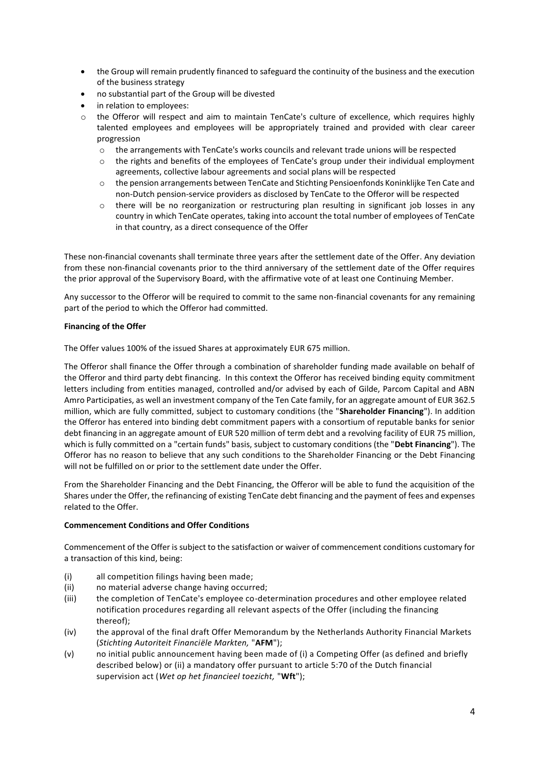- the Group will remain prudently financed to safeguard the continuity of the business and the execution of the business strategy
- no substantial part of the Group will be divested
- in relation to employees:
- o the Offeror will respect and aim to maintain TenCate's culture of excellence, which requires highly talented employees and employees will be appropriately trained and provided with clear career progression
	- o the arrangements with TenCate's works councils and relevant trade unions will be respected
	- $\circ$  the rights and benefits of the employees of TenCate's group under their individual employment agreements, collective labour agreements and social plans will be respected
	- o the pension arrangements between TenCate and Stichting Pensioenfonds Koninklijke Ten Cate and non-Dutch pension-service providers as disclosed by TenCate to the Offeror will be respected
	- o there will be no reorganization or restructuring plan resulting in significant job losses in any country in which TenCate operates, taking into account the total number of employees of TenCate in that country, as a direct consequence of the Offer

These non-financial covenants shall terminate three years after the settlement date of the Offer. Any deviation from these non-financial covenants prior to the third anniversary of the settlement date of the Offer requires the prior approval of the Supervisory Board, with the affirmative vote of at least one Continuing Member.

Any successor to the Offeror will be required to commit to the same non-financial covenants for any remaining part of the period to which the Offeror had committed.

# **Financing of the Offer**

The Offer values 100% of the issued Shares at approximately EUR 675 million.

The Offeror shall finance the Offer through a combination of shareholder funding made available on behalf of the Offeror and third party debt financing. In this context the Offeror has received binding equity commitment letters including from entities managed, controlled and/or advised by each of Gilde, Parcom Capital and ABN Amro Participaties, as well an investment company of the Ten Cate family, for an aggregate amount of EUR 362.5 million, which are fully committed, subject to customary conditions (the "**Shareholder Financing**"). In addition the Offeror has entered into binding debt commitment papers with a consortium of reputable banks for senior debt financing in an aggregate amount of EUR 520 million of term debt and a revolving facility of EUR 75 million, which is fully committed on a "certain funds" basis, subject to customary conditions (the "**Debt Financing**"). The Offeror has no reason to believe that any such conditions to the Shareholder Financing or the Debt Financing will not be fulfilled on or prior to the settlement date under the Offer.

From the Shareholder Financing and the Debt Financing, the Offeror will be able to fund the acquisition of the Shares under the Offer, the refinancing of existing TenCate debt financing and the payment of fees and expenses related to the Offer.

## **Commencement Conditions and Offer Conditions**

Commencement of the Offer is subject to the satisfaction or waiver of commencement conditions customary for a transaction of this kind, being:

- (i) all competition filings having been made;
- (ii) no material adverse change having occurred;
- (iii) the completion of TenCate's employee co-determination procedures and other employee related notification procedures regarding all relevant aspects of the Offer (including the financing thereof);
- (iv) the approval of the final draft Offer Memorandum by the Netherlands Authority Financial Markets (*Stichting Autoriteit Financiële Markten,* "**AFM**");
- (v) no initial public announcement having been made of (i) a Competing Offer (as defined and briefly described below) or (ii) a mandatory offer pursuant to article 5:70 of the Dutch financial supervision act (*Wet op het financieel toezicht,* "**Wft**");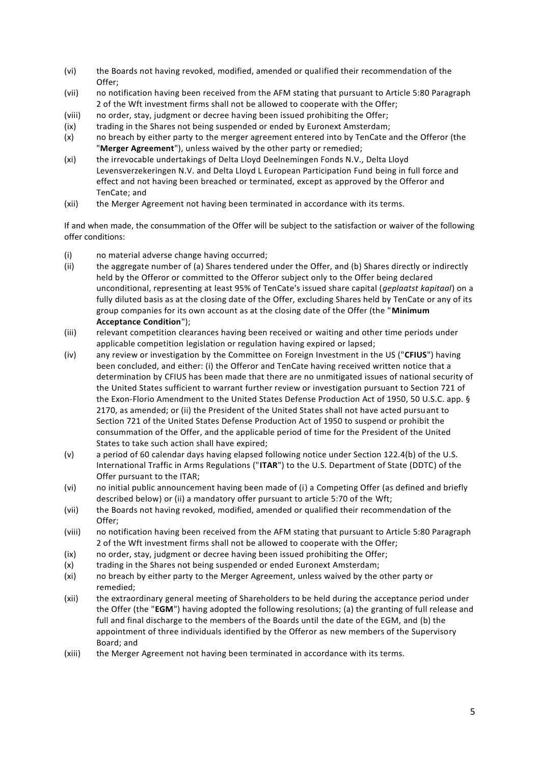- (vi) the Boards not having revoked, modified, amended or qualified their recommendation of the Offer;
- (vii) no notification having been received from the AFM stating that pursuant to Article 5:80 Paragraph 2 of the Wft investment firms shall not be allowed to cooperate with the Offer;
- (viii) no order, stay, judgment or decree having been issued prohibiting the Offer;
- (ix) trading in the Shares not being suspended or ended by Euronext Amsterdam;
- (x) no breach by either party to the merger agreement entered into by TenCate and the Offeror (the "**Merger Agreement**"), unless waived by the other party or remedied;
- (xi) the irrevocable undertakings of Delta Lloyd Deelnemingen Fonds N.V., Delta Lloyd Levensverzekeringen N.V. and Delta Lloyd L European Participation Fund being in full force and effect and not having been breached or terminated, except as approved by the Offeror and TenCate; and
- (xii) the Merger Agreement not having been terminated in accordance with its terms.

If and when made, the consummation of the Offer will be subject to the satisfaction or waiver of the following offer conditions:

- (i) no material adverse change having occurred;
- (ii) the aggregate number of (a) Shares tendered under the Offer, and (b) Shares directly or indirectly held by the Offeror or committed to the Offeror subject only to the Offer being declared unconditional, representing at least 95% of TenCate's issued share capital (*geplaatst kapitaal*) on a fully diluted basis as at the closing date of the Offer, excluding Shares held by TenCate or any of its group companies for its own account as at the closing date of the Offer (the "**Minimum Acceptance Condition**");
- (iii) relevant competition clearances having been received or waiting and other time periods under applicable competition legislation or regulation having expired or lapsed;
- (iv) any review or investigation by the Committee on Foreign Investment in the US ("**CFIUS**") having been concluded, and either: (i) the Offeror and TenCate having received written notice that a determination by CFIUS has been made that there are no unmitigated issues of national security of the United States sufficient to warrant further review or investigation pursuant to Section 721 of the Exon-Florio Amendment to the United States Defense Production Act of 1950, 50 U.S.C. app. § 2170, as amended; or (ii) the President of the United States shall not have acted pursuant to Section 721 of the United States Defense Production Act of 1950 to suspend or prohibit the consummation of the Offer, and the applicable period of time for the President of the United States to take such action shall have expired;
- (v) a period of 60 calendar days having elapsed following notice under Section 122.4(b) of the U.S. International Traffic in Arms Regulations ("**ITAR**") to the U.S. Department of State (DDTC) of the Offer pursuant to the ITAR;
- (vi) no initial public announcement having been made of (i) a Competing Offer (as defined and briefly described below) or (ii) a mandatory offer pursuant to article 5:70 of the Wft;
- (vii) the Boards not having revoked, modified, amended or qualified their recommendation of the Offer;
- (viii) no notification having been received from the AFM stating that pursuant to Article 5:80 Paragraph 2 of the Wft investment firms shall not be allowed to cooperate with the Offer;
- (ix) no order, stay, judgment or decree having been issued prohibiting the Offer;
- (x) trading in the Shares not being suspended or ended Euronext Amsterdam;
- (xi) no breach by either party to the Merger Agreement, unless waived by the other party or remedied;
- (xii) the extraordinary general meeting of Shareholders to be held during the acceptance period under the Offer (the "**EGM**") having adopted the following resolutions; (a) the granting of full release and full and final discharge to the members of the Boards until the date of the EGM, and (b) the appointment of three individuals identified by the Offeror as new members of the Supervisory Board; and
- (xiii) the Merger Agreement not having been terminated in accordance with its terms.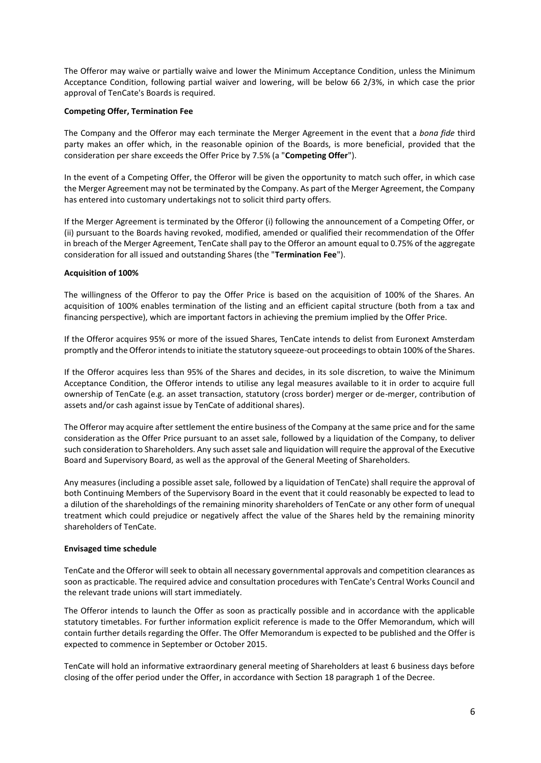The Offeror may waive or partially waive and lower the Minimum Acceptance Condition, unless the Minimum Acceptance Condition, following partial waiver and lowering, will be below 66 2/3%, in which case the prior approval of TenCate's Boards is required.

### **Competing Offer, Termination Fee**

The Company and the Offeror may each terminate the Merger Agreement in the event that a *bona fide* third party makes an offer which, in the reasonable opinion of the Boards, is more beneficial, provided that the consideration per share exceeds the Offer Price by 7.5% (a "**Competing Offer**").

In the event of a Competing Offer, the Offeror will be given the opportunity to match such offer, in which case the Merger Agreement may not be terminated by the Company. As part of the Merger Agreement, the Company has entered into customary undertakings not to solicit third party offers.

If the Merger Agreement is terminated by the Offeror (i) following the announcement of a Competing Offer, or (ii) pursuant to the Boards having revoked, modified, amended or qualified their recommendation of the Offer in breach of the Merger Agreement, TenCate shall pay to the Offeror an amount equal to 0.75% of the aggregate consideration for all issued and outstanding Shares (the "**Termination Fee**").

### **Acquisition of 100%**

The willingness of the Offeror to pay the Offer Price is based on the acquisition of 100% of the Shares. An acquisition of 100% enables termination of the listing and an efficient capital structure (both from a tax and financing perspective), which are important factors in achieving the premium implied by the Offer Price.

If the Offeror acquires 95% or more of the issued Shares, TenCate intends to delist from Euronext Amsterdam promptly and the Offeror intends to initiate the statutory squeeze-out proceedings to obtain 100% of the Shares.

If the Offeror acquires less than 95% of the Shares and decides, in its sole discretion, to waive the Minimum Acceptance Condition, the Offeror intends to utilise any legal measures available to it in order to acquire full ownership of TenCate (e.g. an asset transaction, statutory (cross border) merger or de-merger, contribution of assets and/or cash against issue by TenCate of additional shares).

The Offeror may acquire after settlement the entire business of the Company at the same price and for the same consideration as the Offer Price pursuant to an asset sale, followed by a liquidation of the Company, to deliver such consideration to Shareholders. Any such asset sale and liquidation will require the approval of the Executive Board and Supervisory Board, as well as the approval of the General Meeting of Shareholders.

Any measures (including a possible asset sale, followed by a liquidation of TenCate) shall require the approval of both Continuing Members of the Supervisory Board in the event that it could reasonably be expected to lead to a dilution of the shareholdings of the remaining minority shareholders of TenCate or any other form of unequal treatment which could prejudice or negatively affect the value of the Shares held by the remaining minority shareholders of TenCate.

#### **Envisaged time schedule**

TenCate and the Offeror will seek to obtain all necessary governmental approvals and competition clearances as soon as practicable. The required advice and consultation procedures with TenCate's Central Works Council and the relevant trade unions will start immediately.

The Offeror intends to launch the Offer as soon as practically possible and in accordance with the applicable statutory timetables. For further information explicit reference is made to the Offer Memorandum, which will contain further details regarding the Offer. The Offer Memorandum is expected to be published and the Offer is expected to commence in September or October 2015.

TenCate will hold an informative extraordinary general meeting of Shareholders at least 6 business days before closing of the offer period under the Offer, in accordance with Section 18 paragraph 1 of the Decree.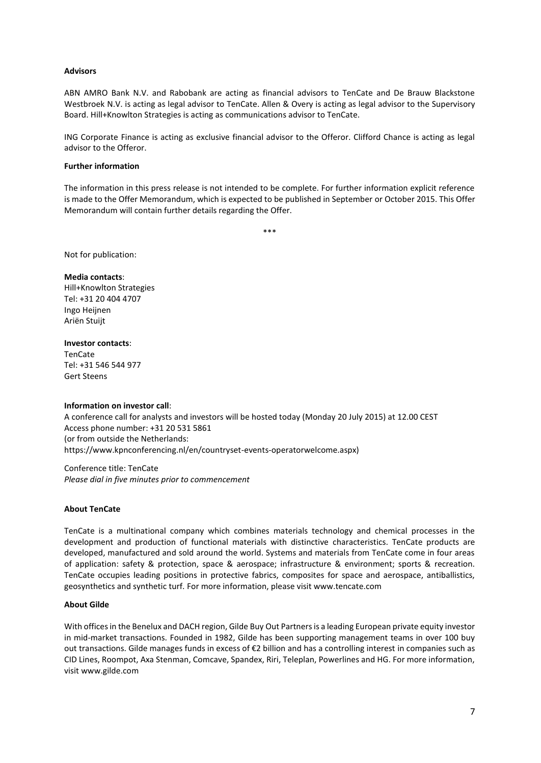## **Advisors**

ABN AMRO Bank N.V. and Rabobank are acting as financial advisors to TenCate and De Brauw Blackstone Westbroek N.V. is acting as legal advisor to TenCate. Allen & Overy is acting as legal advisor to the Supervisory Board. Hill+Knowlton Strategies is acting as communications advisor to TenCate.

ING Corporate Finance is acting as exclusive financial advisor to the Offeror. Clifford Chance is acting as legal advisor to the Offeror.

### **Further information**

The information in this press release is not intended to be complete. For further information explicit reference is made to the Offer Memorandum, which is expected to be published in September or October 2015. This Offer Memorandum will contain further details regarding the Offer.

\*\*\*

Not for publication:

### **Media contacts**:

Hill+Knowlton Strategies Tel: +31 20 404 4707 Ingo Heijnen Ariën Stuijt

### **Investor contacts**:

TenCate Tel: +31 546 544 977 Gert Steens

## **Information on investor call**:

A conference call for analysts and investors will be hosted today (Monday 20 July 2015) at 12.00 CEST Access phone number: +31 20 531 5861 (or from outside the Netherlands: https://www.kpnconferencing.nl/en/countryset-events-operatorwelcome.aspx)

Conference title: TenCate *Please dial in five minutes prior to commencement*

## **About TenCate**

TenCate is a multinational company which combines materials technology and chemical processes in the development and production of functional materials with distinctive characteristics. TenCate products are developed, manufactured and sold around the world. Systems and materials from TenCate come in four areas of application: safety & protection, space & aerospace; infrastructure & environment; sports & recreation. TenCate occupies leading positions in protective fabrics, composites for space and aerospace, antiballistics, geosynthetics and synthetic turf. For more information, please visit www.tencate.com

## **About Gilde**

With offices in the Benelux and DACH region, Gilde Buy Out Partners is a leading European private equity investor in mid-market transactions. Founded in 1982, Gilde has been supporting management teams in over 100 buy out transactions. Gilde manages funds in excess of €2 billion and has a controlling interest in companies such as CID Lines, Roompot, Axa Stenman, Comcave, Spandex, Riri, Teleplan, Powerlines and HG. For more information, visi[t www.gilde.com](http://www.gilde.com/)